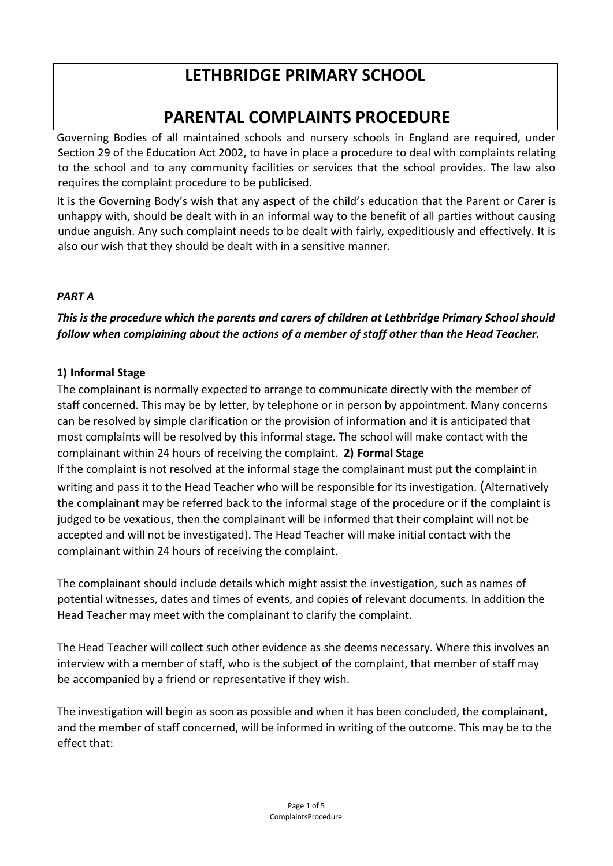# **LETHBRIDGE PRIMARY SCHOOL**

# **PARENTAL COMPLAINTS PROCEDURE**

Governing Bodies of all maintained schools and nursery schools in England are required, under Section 29 of the Education Act 2002, to have in place a procedure to deal with complaints relating to the school and to any community facilities or services that the school provides. The law also requires the complaint procedure to be publicised.

It is the Governing Body's wish that any aspect of the child's education that the Parent or Carer is unhappy with, should be dealt with in an informal way to the benefit of all parties without causing undue anguish. Any such complaint needs to be dealt with fairly, expeditiously and effectively. It is also our wish that they should be dealt with in a sensitive manner.

### *PART A*

*This is the procedure which the parents and carers of children at Lethbridge Primary School should follow when complaining about the actions of a member of staff other than the Head Teacher.* 

### **1) Informal Stage**

The complainant is normally expected to arrange to communicate directly with the member of staff concerned. This may be by letter, by telephone or in person by appointment. Many concerns can be resolved by simple clarification or the provision of information and it is anticipated that most complaints will be resolved by this informal stage. The school will make contact with the complainant within 24 hours of receiving the complaint. **2) Formal Stage**  If the complaint is not resolved at the informal stage the complainant must put the complaint in writing and pass it to the Head Teacher who will be responsible for its investigation. (Alternatively the complainant may be referred back to the informal stage of the procedure or if the complaint is judged to be vexatious, then the complainant will be informed that their complaint will not be accepted and will not be investigated). The Head Teacher will make initial contact with the complainant within 24 hours of receiving the complaint.

The complainant should include details which might assist the investigation, such as names of potential witnesses, dates and times of events, and copies of relevant documents. In addition the Head Teacher may meet with the complainant to clarify the complaint.

The Head Teacher will collect such other evidence as she deems necessary. Where this involves an interview with a member of staff, who is the subject of the complaint, that member of staff may be accompanied by a friend or representative if they wish.

The investigation will begin as soon as possible and when it has been concluded, the complainant, and the member of staff concerned, will be informed in writing of the outcome. This may be to the effect that: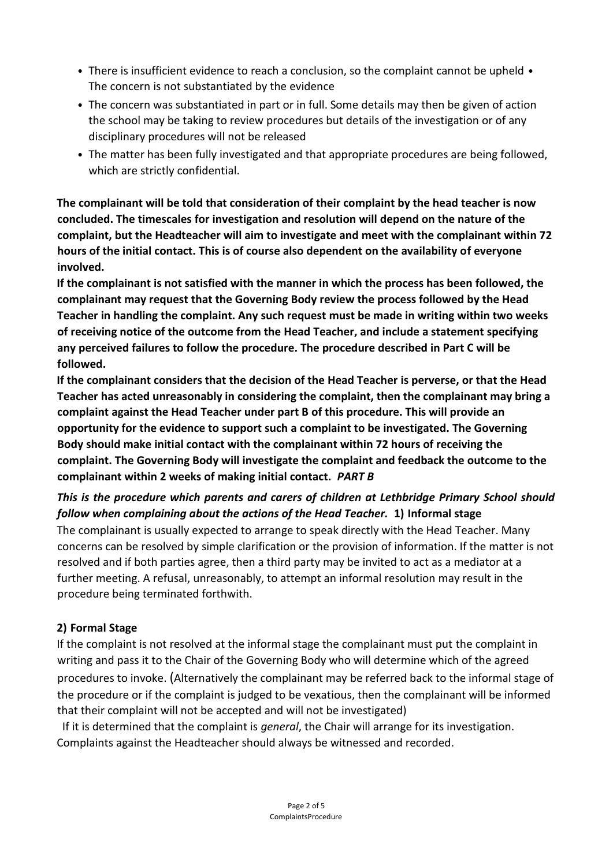- There is insufficient evidence to reach a conclusion, so the complaint cannot be upheld The concern is not substantiated by the evidence
- The concern was substantiated in part or in full. Some details may then be given of action the school may be taking to review procedures but details of the investigation or of any disciplinary procedures will not be released
- The matter has been fully investigated and that appropriate procedures are being followed, which are strictly confidential.

**The complainant will be told that consideration of their complaint by the head teacher is now concluded. The timescales for investigation and resolution will depend on the nature of the complaint, but the Headteacher will aim to investigate and meet with the complainant within 72 hours of the initial contact. This is of course also dependent on the availability of everyone involved.** 

**If the complainant is not satisfied with the manner in which the process has been followed, the complainant may request that the Governing Body review the process followed by the Head Teacher in handling the complaint. Any such request must be made in writing within two weeks of receiving notice of the outcome from the Head Teacher, and include a statement specifying any perceived failures to follow the procedure. The procedure described in Part C will be followed.** 

**If the complainant considers that the decision of the Head Teacher is perverse, or that the Head Teacher has acted unreasonably in considering the complaint, then the complainant may bring a complaint against the Head Teacher under part B of this procedure. This will provide an opportunity for the evidence to support such a complaint to be investigated. The Governing Body should make initial contact with the complainant within 72 hours of receiving the complaint. The Governing Body will investigate the complaint and feedback the outcome to the complainant within 2 weeks of making initial contact.** *PART B* 

## *This is the procedure which parents and carers of children at Lethbridge Primary School should follow when complaining about the actions of the Head Teacher.* **1) Informal stage**

The complainant is usually expected to arrange to speak directly with the Head Teacher. Many concerns can be resolved by simple clarification or the provision of information. If the matter is not resolved and if both parties agree, then a third party may be invited to act as a mediator at a further meeting. A refusal, unreasonably, to attempt an informal resolution may result in the procedure being terminated forthwith.

### **2) Formal Stage**

If the complaint is not resolved at the informal stage the complainant must put the complaint in writing and pass it to the Chair of the Governing Body who will determine which of the agreed procedures to invoke. (Alternatively the complainant may be referred back to the informal stage of the procedure or if the complaint is judged to be vexatious, then the complainant will be informed that their complaint will not be accepted and will not be investigated)

If it is determined that the complaint is *general*, the Chair will arrange for its investigation. Complaints against the Headteacher should always be witnessed and recorded.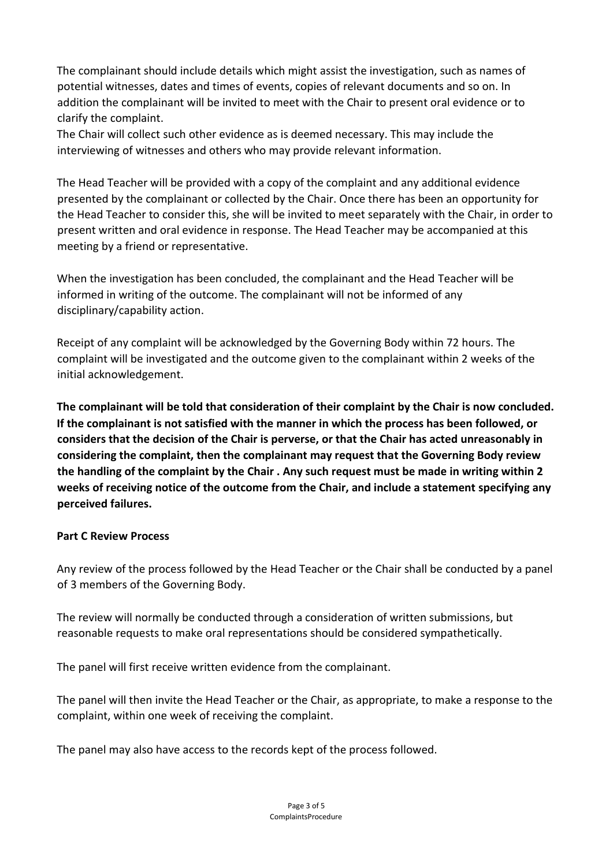The complainant should include details which might assist the investigation, such as names of potential witnesses, dates and times of events, copies of relevant documents and so on. In addition the complainant will be invited to meet with the Chair to present oral evidence or to clarify the complaint.

The Chair will collect such other evidence as is deemed necessary. This may include the interviewing of witnesses and others who may provide relevant information.

The Head Teacher will be provided with a copy of the complaint and any additional evidence presented by the complainant or collected by the Chair. Once there has been an opportunity for the Head Teacher to consider this, she will be invited to meet separately with the Chair, in order to present written and oral evidence in response. The Head Teacher may be accompanied at this meeting by a friend or representative.

When the investigation has been concluded, the complainant and the Head Teacher will be informed in writing of the outcome. The complainant will not be informed of any disciplinary/capability action.

Receipt of any complaint will be acknowledged by the Governing Body within 72 hours. The complaint will be investigated and the outcome given to the complainant within 2 weeks of the initial acknowledgement.

**The complainant will be told that consideration of their complaint by the Chair is now concluded. If the complainant is not satisfied with the manner in which the process has been followed, or considers that the decision of the Chair is perverse, or that the Chair has acted unreasonably in considering the complaint, then the complainant may request that the Governing Body review the handling of the complaint by the Chair . Any such request must be made in writing within 2 weeks of receiving notice of the outcome from the Chair, and include a statement specifying any perceived failures.** 

#### **Part C Review Process**

Any review of the process followed by the Head Teacher or the Chair shall be conducted by a panel of 3 members of the Governing Body.

The review will normally be conducted through a consideration of written submissions, but reasonable requests to make oral representations should be considered sympathetically.

The panel will first receive written evidence from the complainant.

The panel will then invite the Head Teacher or the Chair, as appropriate, to make a response to the complaint, within one week of receiving the complaint.

The panel may also have access to the records kept of the process followed.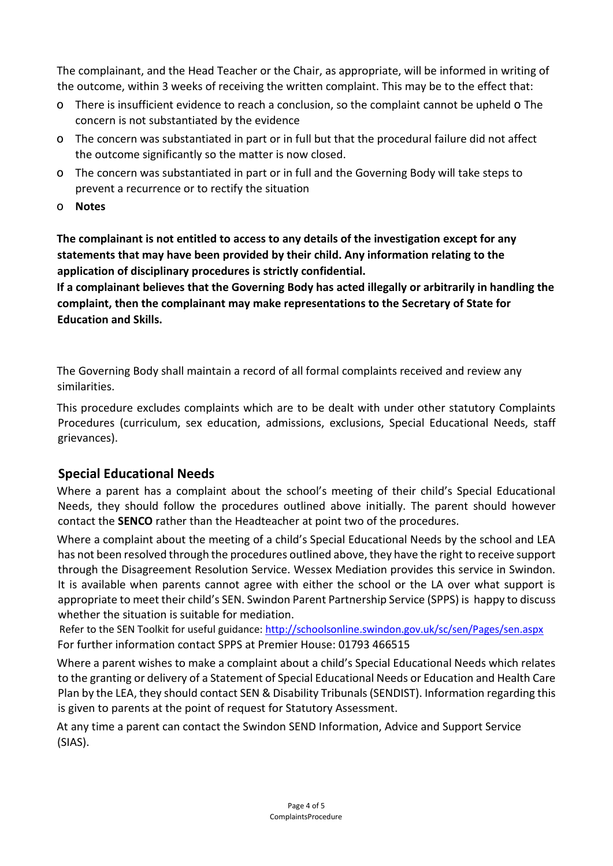The complainant, and the Head Teacher or the Chair, as appropriate, will be informed in writing of the outcome, within 3 weeks of receiving the written complaint. This may be to the effect that:

- o There is insufficient evidence to reach a conclusion, so the complaint cannot be upheld o The concern is not substantiated by the evidence
- o The concern was substantiated in part or in full but that the procedural failure did not affect the outcome significantly so the matter is now closed.
- o The concern was substantiated in part or in full and the Governing Body will take steps to prevent a recurrence or to rectify the situation
- o **Notes**

**The complainant is not entitled to access to any details of the investigation except for any statements that may have been provided by their child. Any information relating to the application of disciplinary procedures is strictly confidential.** 

**If a complainant believes that the Governing Body has acted illegally or arbitrarily in handling the complaint, then the complainant may make representations to the Secretary of State for Education and Skills.** 

The Governing Body shall maintain a record of all formal complaints received and review any similarities.

This procedure excludes complaints which are to be dealt with under other statutory Complaints Procedures (curriculum, sex education, admissions, exclusions, Special Educational Needs, staff grievances).

# **Special Educational Needs**

Where a parent has a complaint about the school's meeting of their child's Special Educational Needs, they should follow the procedures outlined above initially. The parent should however contact the **SENCO** rather than the Headteacher at point two of the procedures.

Where a complaint about the meeting of a child's Special Educational Needs by the school and LEA has not been resolved through the procedures outlined above, they have the right to receive support through the Disagreement Resolution Service. Wessex Mediation provides this service in Swindon. It is available when parents cannot agree with either the school or the LA over what support is appropriate to meet their child's SEN. Swindon Parent Partnership Service (SPPS) is happy to discuss whether the situation is suitable for mediation.

 Refer to the SEN Toolkit for useful guidance[: http://schoolsonline.swindon.gov.uk/sc/sen/Pages/sen.aspx](http://schoolsonline.swindon.gov.uk/sc/sen/Pages/sen.aspx) For further information contact SPPS at Premier House: 01793 466515

Where a parent wishes to make a complaint about a child's Special Educational Needs which relates to the granting or delivery of a Statement of Special Educational Needs or Education and Health Care Plan by the LEA, they should contact SEN & Disability Tribunals (SENDIST). Information regarding this is given to parents at the point of request for Statutory Assessment.

At any time a parent can contact the Swindon SEND Information, Advice and Support Service (SIAS).